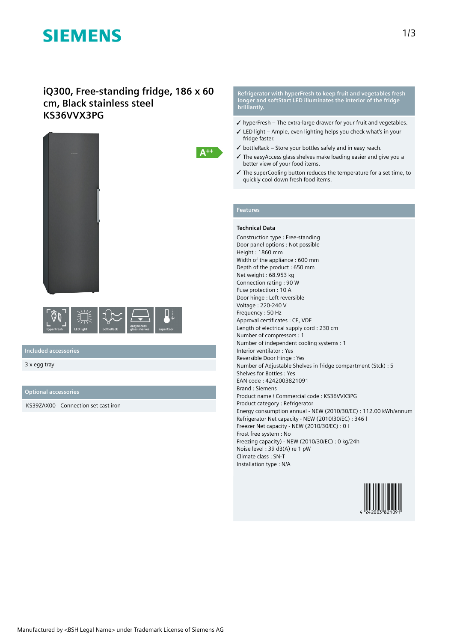# **SIEMENS**

# **iQ300, Free-standing fridge, 186 x 60 cm, Black stainless steel KS36VVX3PG**





## **Included accessories**

3 x egg tray

### **Optional accessories**

KS39ZAX00 Connection set cast iron

**Refrigerator with hyperFresh to keep fruit and vegetables fresh longer and softStart LED illuminates the interior of the fridge brilliantly.**

- ✓ hyperFresh The extra-large drawer for your fruit and vegetables.
- ✓ LED light Ample, even lighting helps you check what's in your fridge faster.
- $\checkmark$  bottleRack Store your bottles safely and in easy reach.
- ✓ The easyAccess glass shelves make loading easier and give you a better view of your food items.
- ✓ The superCooling button reduces the temperature for a set time, to quickly cool down fresh food items.

## **Features**

 $A^{++}$ 

#### **Technical Data**

Construction type : Free-standing Door panel options : Not possible Height : 1860 mm Width of the appliance : 600 mm Depth of the product : 650 mm Net weight : 68.953 kg Connection rating : 90 W Fuse protection : 10 A Door hinge : Left reversible Voltage : 220-240 V Frequency : 50 Hz Approval certificates : CE, VDE Length of electrical supply cord : 230 cm Number of compressors : 1 Number of independent cooling systems : 1 Interior ventilator : Yes Reversible Door Hinge : Yes Number of Adjustable Shelves in fridge compartment (Stck) : 5 Shelves for Bottles : Yes EAN code : 4242003821091 Brand : Siemens Product name / Commercial code : KS36VVX3PG Product category : Refrigerator Energy consumption annual - NEW (2010/30/EC) : 112.00 kWh/annum Refrigerator Net capacity - NEW (2010/30/EC) : 346 l Freezer Net capacity - NEW (2010/30/EC) : 0 l Frost free system : No Freezing capacity) - NEW (2010/30/EC) : 0 kg/24h Noise level : 39 dB(A) re 1 pW Climate class : SN-T Installation type : N/A

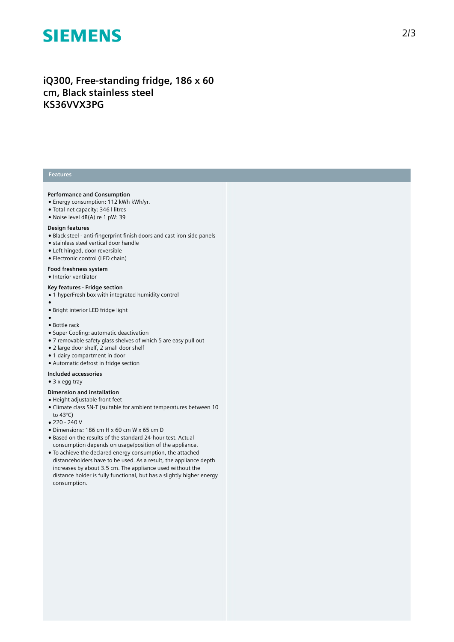# **SIEMENS**

# **iQ300, Free-standing fridge, 186 x 60 cm, Black stainless steel KS36VVX3PG**

### **Features**

#### **Performance and Consumption**

- Energy consumption: 112 kWh kWh/yr.
- Total net capacity: 346 l litres
- Noise level dB(A) re 1 pW: 39

#### **Design features**

- Black steel anti-fingerprint finish doors and cast iron side panels
- stainless steel vertical door handle
- Left hinged, door reversible
- Electronic control (LED chain)

## **Food freshness system**

● Interior ventilator

#### **Key features - Fridge section**

- 1 hyperFresh box with integrated humidity control
- ●

●

- Bright interior LED fridge light
- Bottle rack
- Super Cooling: automatic deactivation
- 7 removable safety glass shelves of which 5 are easy pull out
- 2 large door shelf, 2 small door shelf
- 1 dairy compartment in door
- Automatic defrost in fridge section

#### **Included accessories**

● 3 x egg tray

### **Dimension and installation**

- Height adjustable front feet
- Climate class SN-T (suitable for ambient temperatures between 10 to 43°C)
- 220 240 V
- Dimensions: 186 cm H x 60 cm W x 65 cm D
- Based on the results of the standard 24-hour test. Actual consumption depends on usage/position of the appliance.
- To achieve the declared energy consumption, the attached distanceholders have to be used. As a result, the appliance depth increases by about 3.5 cm. The appliance used without the distance holder is fully functional, but has a slightly higher energy consumption.